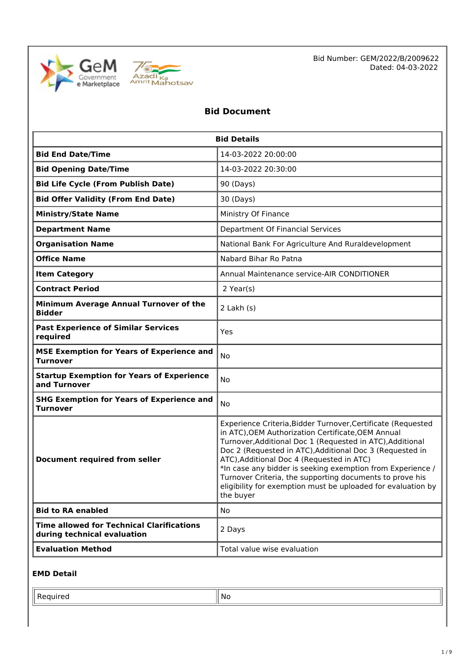



Bid Number: GEM/2022/B/2009622 Dated: 04-03-2022

# **Bid Document**

| <b>Bid Details</b>                                                              |                                                                                                                                                                                                                                                                                                                                                                                                                                                                                                 |  |
|---------------------------------------------------------------------------------|-------------------------------------------------------------------------------------------------------------------------------------------------------------------------------------------------------------------------------------------------------------------------------------------------------------------------------------------------------------------------------------------------------------------------------------------------------------------------------------------------|--|
| <b>Bid End Date/Time</b>                                                        | 14-03-2022 20:00:00                                                                                                                                                                                                                                                                                                                                                                                                                                                                             |  |
| <b>Bid Opening Date/Time</b>                                                    | 14-03-2022 20:30:00                                                                                                                                                                                                                                                                                                                                                                                                                                                                             |  |
| <b>Bid Life Cycle (From Publish Date)</b>                                       | 90 (Days)                                                                                                                                                                                                                                                                                                                                                                                                                                                                                       |  |
| <b>Bid Offer Validity (From End Date)</b>                                       | 30 (Days)                                                                                                                                                                                                                                                                                                                                                                                                                                                                                       |  |
| <b>Ministry/State Name</b>                                                      | Ministry Of Finance                                                                                                                                                                                                                                                                                                                                                                                                                                                                             |  |
| <b>Department Name</b>                                                          | Department Of Financial Services                                                                                                                                                                                                                                                                                                                                                                                                                                                                |  |
| <b>Organisation Name</b>                                                        | National Bank For Agriculture And Ruraldevelopment                                                                                                                                                                                                                                                                                                                                                                                                                                              |  |
| <b>Office Name</b>                                                              | Nabard Bihar Ro Patna                                                                                                                                                                                                                                                                                                                                                                                                                                                                           |  |
| <b>Item Category</b>                                                            | Annual Maintenance service-AIR CONDITIONER                                                                                                                                                                                                                                                                                                                                                                                                                                                      |  |
| <b>Contract Period</b>                                                          | $2$ Year(s)                                                                                                                                                                                                                                                                                                                                                                                                                                                                                     |  |
| Minimum Average Annual Turnover of the<br><b>Bidder</b>                         | $2$ Lakh $(s)$                                                                                                                                                                                                                                                                                                                                                                                                                                                                                  |  |
| <b>Past Experience of Similar Services</b><br>required                          | Yes                                                                                                                                                                                                                                                                                                                                                                                                                                                                                             |  |
| <b>MSE Exemption for Years of Experience and</b><br><b>Turnover</b>             | No                                                                                                                                                                                                                                                                                                                                                                                                                                                                                              |  |
| <b>Startup Exemption for Years of Experience</b><br>and Turnover                | No                                                                                                                                                                                                                                                                                                                                                                                                                                                                                              |  |
| <b>SHG Exemption for Years of Experience and</b><br><b>Turnover</b>             | No                                                                                                                                                                                                                                                                                                                                                                                                                                                                                              |  |
| <b>Document required from seller</b>                                            | Experience Criteria, Bidder Turnover, Certificate (Requested<br>in ATC), OEM Authorization Certificate, OEM Annual<br>Turnover, Additional Doc 1 (Requested in ATC), Additional<br>Doc 2 (Requested in ATC), Additional Doc 3 (Requested in<br>ATC), Additional Doc 4 (Requested in ATC)<br>*In case any bidder is seeking exemption from Experience /<br>Turnover Criteria, the supporting documents to prove his<br>eligibility for exemption must be uploaded for evaluation by<br>the buyer |  |
| <b>Bid to RA enabled</b>                                                        | No.                                                                                                                                                                                                                                                                                                                                                                                                                                                                                             |  |
| <b>Time allowed for Technical Clarifications</b><br>during technical evaluation | 2 Days                                                                                                                                                                                                                                                                                                                                                                                                                                                                                          |  |
| <b>Evaluation Method</b>                                                        | Total value wise evaluation                                                                                                                                                                                                                                                                                                                                                                                                                                                                     |  |

### **EMD Detail**

Required  $\|\mathsf{No}\|$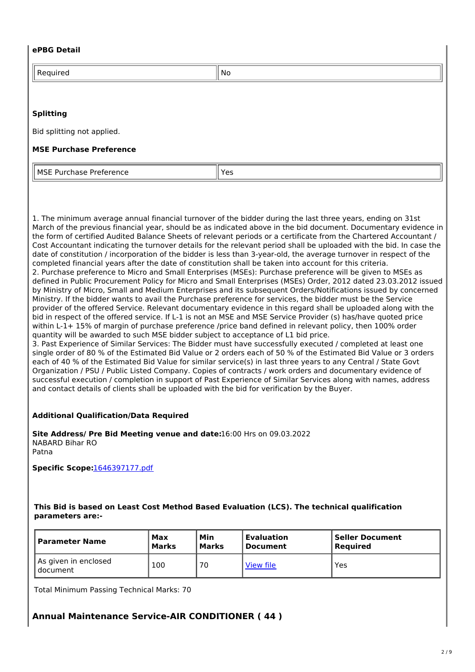#### **ePBG Detail**

| -<br>. <u>.</u> .<br>$\tilde{}$ | ' No |
|---------------------------------|------|
|                                 |      |

#### **Splitting**

Bid splitting not applied.

#### **MSE Purchase Preference**

| l MSF<br>Preference<br>$\Gamma$<br>.<br>nase<br>. | --<br>ັ້<br>$ -$ |
|---------------------------------------------------|------------------|
|---------------------------------------------------|------------------|

1. The minimum average annual financial turnover of the bidder during the last three years, ending on 31st March of the previous financial year, should be as indicated above in the bid document. Documentary evidence in the form of certified Audited Balance Sheets of relevant periods or a certificate from the Chartered Accountant / Cost Accountant indicating the turnover details for the relevant period shall be uploaded with the bid. In case the date of constitution / incorporation of the bidder is less than 3-year-old, the average turnover in respect of the completed financial years after the date of constitution shall be taken into account for this criteria. 2. Purchase preference to Micro and Small Enterprises (MSEs): Purchase preference will be given to MSEs as defined in Public Procurement Policy for Micro and Small Enterprises (MSEs) Order, 2012 dated 23.03.2012 issued by Ministry of Micro, Small and Medium Enterprises and its subsequent Orders/Notifications issued by concerned Ministry. If the bidder wants to avail the Purchase preference for services, the bidder must be the Service provider of the offered Service. Relevant documentary evidence in this regard shall be uploaded along with the bid in respect of the offered service. If L-1 is not an MSE and MSE Service Provider (s) has/have quoted price within L-1+ 15% of margin of purchase preference /price band defined in relevant policy, then 100% order quantity will be awarded to such MSE bidder subject to acceptance of L1 bid price.

3. Past Experience of Similar Services: The Bidder must have successfully executed / completed at least one single order of 80 % of the Estimated Bid Value or 2 orders each of 50 % of the Estimated Bid Value or 3 orders each of 40 % of the Estimated Bid Value for similar service(s) in last three years to any Central / State Govt Organization / PSU / Public Listed Company. Copies of contracts / work orders and documentary evidence of successful execution / completion in support of Past Experience of Similar Services along with names, address and contact details of clients shall be uploaded with the bid for verification by the Buyer.

#### **Additional Qualification/Data Required**

**Site Address/ Pre Bid Meeting venue and date:**16:00 Hrs on 09.03.2022 NABARD Bihar RO Patna

**Specific Scope:**1646397177.pdf

#### **This Bid is based on Least Cost Method Based Evaluation (LCS). The technical qualification parameters are:-**

| l Parameter Name                   | Max   | Min          | <b>Evaluation</b> | <b>Seller Document</b> |
|------------------------------------|-------|--------------|-------------------|------------------------|
|                                    | Marks | <b>Marks</b> | Document          | Required               |
| As given in enclosed<br>l document | 100   | 70           | View file         | Yes                    |

Total Minimum Passing Technical Marks: 70

# **Annual Maintenance Service-AIR CONDITIONER ( 44 )**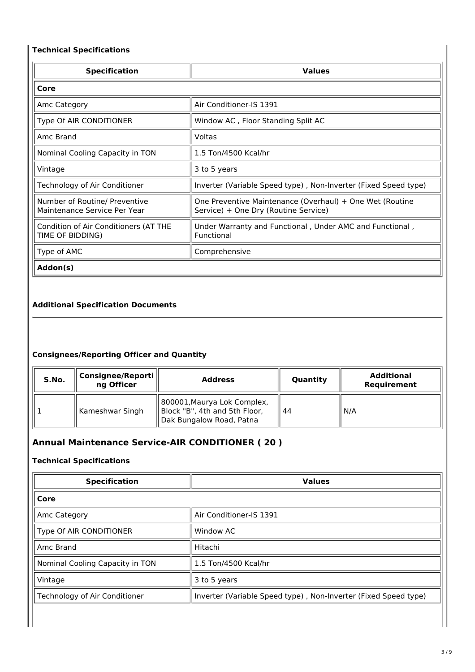# **Technical Specifications**

| <b>Specification</b>                                          | <b>Values</b>                                                                                    |
|---------------------------------------------------------------|--------------------------------------------------------------------------------------------------|
| Core                                                          |                                                                                                  |
| Amc Category                                                  | Air Conditioner-IS 1391                                                                          |
| Type Of AIR CONDITIONER                                       | Window AC, Floor Standing Split AC                                                               |
| Amc Brand                                                     | Voltas                                                                                           |
| Nominal Cooling Capacity in TON                               | 1.5 Ton/4500 Kcal/hr                                                                             |
| Vintage                                                       | 3 to 5 years                                                                                     |
| Technology of Air Conditioner                                 | Inverter (Variable Speed type), Non-Inverter (Fixed Speed type)                                  |
| Number of Routine/ Preventive<br>Maintenance Service Per Year | One Preventive Maintenance (Overhaul) + One Wet (Routine<br>Service) + One Dry (Routine Service) |
| Condition of Air Conditioners (AT THE<br>TIME OF BIDDING)     | Under Warranty and Functional, Under AMC and Functional,<br>Functional                           |
| Type of AMC                                                   | Comprehensive                                                                                    |
| Addon(s)                                                      |                                                                                                  |

# **Additional Specification Documents**

# **Consignees/Reporting Officer and Quantity**

| S.No. | Consignee/Reporti<br>ng Officer | <b>Address</b>                                                                           | Quantity | <b>Additional</b><br>Requirement |
|-------|---------------------------------|------------------------------------------------------------------------------------------|----------|----------------------------------|
|       | Kameshwar Singh                 | 800001, Maurya Lok Complex,<br>Block "B", 4th and 5th Floor,<br>Dak Bungalow Road, Patna | 44       | N/A                              |

# **Annual Maintenance Service-AIR CONDITIONER ( 20 )**

#### **Technical Specifications**

| <b>Values</b>                                                   |
|-----------------------------------------------------------------|
|                                                                 |
| Air Conditioner-IS 1391                                         |
| Window AC                                                       |
| Hitachi                                                         |
| 1.5 Ton/4500 Kcal/hr                                            |
| 3 to 5 years                                                    |
| Inverter (Variable Speed type), Non-Inverter (Fixed Speed type) |
|                                                                 |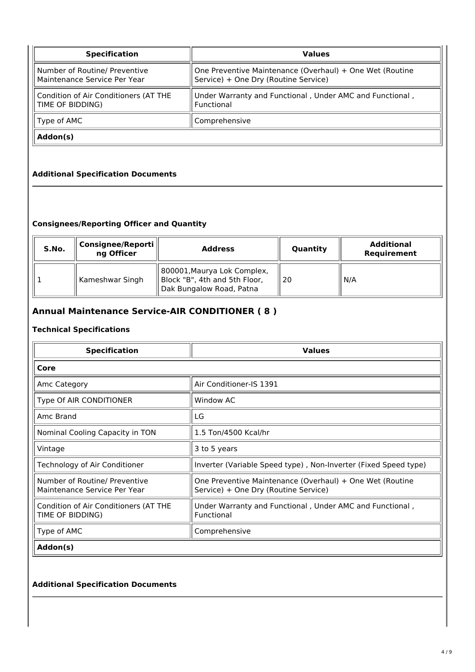| <b>Specification</b>                                          | <b>Values</b>                                                                                    |  |
|---------------------------------------------------------------|--------------------------------------------------------------------------------------------------|--|
| Number of Routine/ Preventive<br>Maintenance Service Per Year | One Preventive Maintenance (Overhaul) + One Wet (Routine<br>Service) + One Dry (Routine Service) |  |
| Condition of Air Conditioners (AT THE<br>   TIME OF BIDDING)  | Under Warranty and Functional, Under AMC and Functional,<br>Functional                           |  |
| $\parallel$ Type of AMC                                       | Comprehensive                                                                                    |  |
| Addon(s)                                                      |                                                                                                  |  |

# **Additional Specification Documents**

### **Consignees/Reporting Officer and Quantity**

| S.No. | Consignee/Reporti   <br>ng Officer | <b>Address</b>                                                                           | Quantity | <b>Additional</b><br>Requirement |
|-------|------------------------------------|------------------------------------------------------------------------------------------|----------|----------------------------------|
|       | Kameshwar Singh                    | 800001, Maurya Lok Complex,<br>Block "B", 4th and 5th Floor,<br>Dak Bungalow Road, Patna | 20       | N/A                              |

# **Annual Maintenance Service-AIR CONDITIONER ( 8 )**

#### **Technical Specifications**

| <b>Specification</b>                                          | <b>Values</b>                                                                                    |
|---------------------------------------------------------------|--------------------------------------------------------------------------------------------------|
| Core                                                          |                                                                                                  |
| Amc Category                                                  | Air Conditioner-IS 1391                                                                          |
| Type Of AIR CONDITIONER                                       | Window AC                                                                                        |
| Amc Brand                                                     | LG                                                                                               |
| Nominal Cooling Capacity in TON                               | 1.5 Ton/4500 Kcal/hr                                                                             |
| Vintage                                                       | 3 to 5 years                                                                                     |
| Technology of Air Conditioner                                 | Inverter (Variable Speed type), Non-Inverter (Fixed Speed type)                                  |
| Number of Routine/ Preventive<br>Maintenance Service Per Year | One Preventive Maintenance (Overhaul) + One Wet (Routine<br>Service) + One Dry (Routine Service) |
| Condition of Air Conditioners (AT THE<br>TIME OF BIDDING)     | Under Warranty and Functional, Under AMC and Functional,<br>Functional                           |
| Type of AMC                                                   | Comprehensive                                                                                    |
| Addon(s)                                                      |                                                                                                  |

#### **Additional Specification Documents**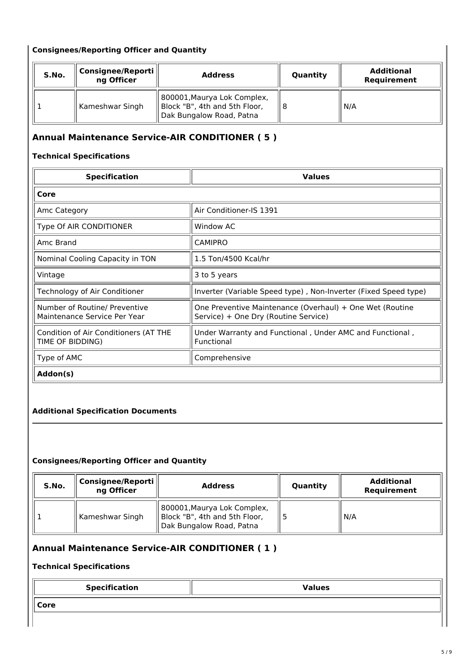## **Consignees/Reporting Officer and Quantity**

| S.No. | Consignee/Reporti   <br>ng Officer | <b>Address</b>                                                                           | Quantity | <b>Additional</b><br>Requirement |
|-------|------------------------------------|------------------------------------------------------------------------------------------|----------|----------------------------------|
|       | Kameshwar Singh                    | 800001, Maurya Lok Complex,<br>Block "B", 4th and 5th Floor,<br>Dak Bungalow Road, Patna |          | N/A                              |

# **Annual Maintenance Service-AIR CONDITIONER ( 5 )**

## **Technical Specifications**

| <b>Specification</b>                                          | <b>Values</b>                                                                                    |
|---------------------------------------------------------------|--------------------------------------------------------------------------------------------------|
| Core                                                          |                                                                                                  |
| Amc Category                                                  | Air Conditioner-IS 1391                                                                          |
| Type Of AIR CONDITIONER                                       | Window AC                                                                                        |
| Amc Brand                                                     | <b>CAMIPRO</b>                                                                                   |
| Nominal Cooling Capacity in TON                               | 1.5 Ton/4500 Kcal/hr                                                                             |
| Vintage                                                       | 3 to 5 years                                                                                     |
| Technology of Air Conditioner                                 | Inverter (Variable Speed type), Non-Inverter (Fixed Speed type)                                  |
| Number of Routine/ Preventive<br>Maintenance Service Per Year | One Preventive Maintenance (Overhaul) + One Wet (Routine<br>Service) + One Dry (Routine Service) |
| Condition of Air Conditioners (AT THE<br>TIME OF BIDDING)     | Under Warranty and Functional, Under AMC and Functional,<br>Functional                           |
| Type of AMC                                                   | Comprehensive                                                                                    |
| Addon(s)                                                      |                                                                                                  |

# **Additional Specification Documents**

#### **Consignees/Reporting Officer and Quantity**

| S.No. | Consignee/Reporti<br>ng Officer | <b>Address</b>                                                                           | Quantity | <b>Additional</b><br>Requirement |
|-------|---------------------------------|------------------------------------------------------------------------------------------|----------|----------------------------------|
|       | Kameshwar Singh                 | 800001, Maurya Lok Complex,<br>Block "B", 4th and 5th Floor,<br>Dak Bungalow Road, Patna |          | N/A                              |

# **Annual Maintenance Service-AIR CONDITIONER ( 1 )**

### **Technical Specifications**

| <b>Specification</b> | <b>Values</b> |
|----------------------|---------------|
| $\parallel$ Core     |               |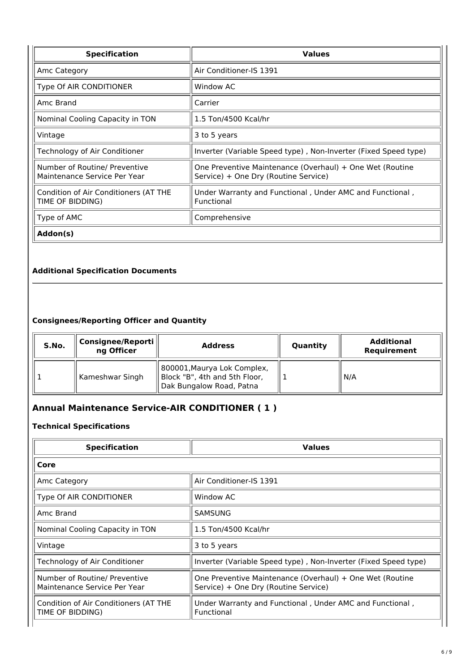| <b>Specification</b>                                          | <b>Values</b>                                                                                    |  |  |
|---------------------------------------------------------------|--------------------------------------------------------------------------------------------------|--|--|
| Amc Category                                                  | Air Conditioner-IS 1391                                                                          |  |  |
| Type Of AIR CONDITIONER                                       | Window AC                                                                                        |  |  |
| Amc Brand                                                     | Carrier                                                                                          |  |  |
| Nominal Cooling Capacity in TON                               | 1.5 Ton/4500 Kcal/hr                                                                             |  |  |
| Vintage                                                       | 3 to 5 years                                                                                     |  |  |
| Technology of Air Conditioner                                 | Inverter (Variable Speed type), Non-Inverter (Fixed Speed type)                                  |  |  |
| Number of Routine/ Preventive<br>Maintenance Service Per Year | One Preventive Maintenance (Overhaul) + One Wet (Routine<br>Service) + One Dry (Routine Service) |  |  |
| Condition of Air Conditioners (AT THE<br>TIME OF BIDDING)     | Under Warranty and Functional, Under AMC and Functional,<br>Functional                           |  |  |
| Type of AMC                                                   | Comprehensive                                                                                    |  |  |
| Addon(s)                                                      |                                                                                                  |  |  |

### **Additional Specification Documents**

### **Consignees/Reporting Officer and Quantity**

| S.No. | Consignee/Reporti<br>ng Officer | <b>Address</b>                                                                           | Quantity | <b>Additional</b><br>Requirement |
|-------|---------------------------------|------------------------------------------------------------------------------------------|----------|----------------------------------|
|       | Kameshwar Singh                 | 800001, Maurya Lok Complex,<br>Block "B", 4th and 5th Floor,<br>Dak Bungalow Road, Patna |          | N/A                              |

# **Annual Maintenance Service-AIR CONDITIONER ( 1 )**

#### **Technical Specifications**

| <b>Specification</b>                                          | <b>Values</b>                                                                                    |  |
|---------------------------------------------------------------|--------------------------------------------------------------------------------------------------|--|
| Core                                                          |                                                                                                  |  |
| Amc Category                                                  | Air Conditioner-IS 1391                                                                          |  |
| Type Of AIR CONDITIONER                                       | Window AC                                                                                        |  |
| Amc Brand                                                     | <b>SAMSUNG</b>                                                                                   |  |
| Nominal Cooling Capacity in TON                               | 1.5 Ton/4500 Kcal/hr                                                                             |  |
| Vintage                                                       | 3 to 5 years                                                                                     |  |
| Technology of Air Conditioner                                 | Inverter (Variable Speed type), Non-Inverter (Fixed Speed type)                                  |  |
| Number of Routine/ Preventive<br>Maintenance Service Per Year | One Preventive Maintenance (Overhaul) + One Wet (Routine<br>Service) + One Dry (Routine Service) |  |
| Condition of Air Conditioners (AT THE<br>TIME OF BIDDING)     | Under Warranty and Functional, Under AMC and Functional,<br>Functional                           |  |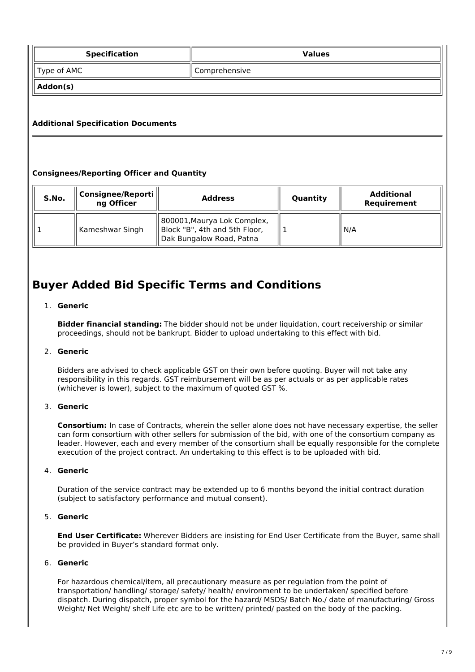| <b>Specification</b>                      |               | <b>Values</b> |  |  |
|-------------------------------------------|---------------|---------------|--|--|
| $\parallel$ Type of AMC                   | Comprehensive |               |  |  |
| Addon(s)                                  |               |               |  |  |
|                                           |               |               |  |  |
| <b>Additional Specification Documents</b> |               |               |  |  |

# **Consignees/Reporting Officer and Quantity**

| S.No. | Consignee/Reporti<br>ng Officer | <b>Address</b>                                                                           | Quantity | <b>Additional</b><br>Requirement |
|-------|---------------------------------|------------------------------------------------------------------------------------------|----------|----------------------------------|
|       | Kameshwar Singh                 | 800001, Maurya Lok Complex,<br>Block "B", 4th and 5th Floor,<br>Dak Bungalow Road, Patna |          | N/A                              |

# **Buyer Added Bid Specific Terms and Conditions**

#### 1. **Generic**

**Bidder financial standing:** The bidder should not be under liquidation, court receivership or similar proceedings, should not be bankrupt. Bidder to upload undertaking to this effect with bid.

#### 2. **Generic**

Bidders are advised to check applicable GST on their own before quoting. Buyer will not take any responsibility in this regards. GST reimbursement will be as per actuals or as per applicable rates (whichever is lower), subject to the maximum of quoted GST %.

#### 3. **Generic**

**Consortium:** In case of Contracts, wherein the seller alone does not have necessary expertise, the seller can form consortium with other sellers for submission of the bid, with one of the consortium company as leader. However, each and every member of the consortium shall be equally responsible for the complete execution of the project contract. An undertaking to this effect is to be uploaded with bid.

#### 4. **Generic**

Duration of the service contract may be extended up to 6 months beyond the initial contract duration (subject to satisfactory performance and mutual consent).

#### 5. **Generic**

**End User Certificate:** Wherever Bidders are insisting for End User Certificate from the Buyer, same shall be provided in Buyer's standard format only.

### 6. **Generic**

For hazardous chemical/item, all precautionary measure as per regulation from the point of transportation/ handling/ storage/ safety/ health/ environment to be undertaken/ specified before dispatch. During dispatch, proper symbol for the hazard/ MSDS/ Batch No./ date of manufacturing/ Gross Weight/ Net Weight/ shelf Life etc are to be written/ printed/ pasted on the body of the packing.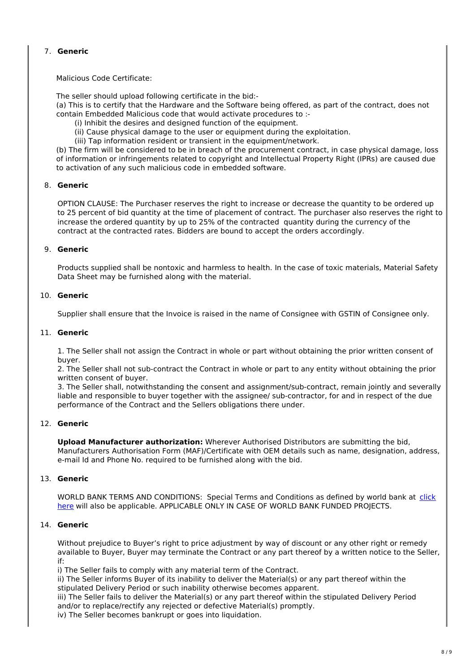# 7. **Generic**

Malicious Code Certificate:

The seller should upload following certificate in the bid:-

(a) This is to certify that the Hardware and the Software being offered, as part of the contract, does not contain Embedded Malicious code that would activate procedures to :-

- (i) Inhibit the desires and designed function of the equipment.
- (ii) Cause physical damage to the user or equipment during the exploitation.
- (iii) Tap information resident or transient in the equipment/network.

(b) The firm will be considered to be in breach of the procurement contract, in case physical damage, loss of information or infringements related to copyright and Intellectual Property Right (IPRs) are caused due to activation of any such malicious code in embedded software.

#### 8. **Generic**

OPTION CLAUSE: The Purchaser reserves the right to increase or decrease the quantity to be ordered up to 25 percent of bid quantity at the time of placement of contract. The purchaser also reserves the right to increase the ordered quantity by up to 25% of the contracted quantity during the currency of the contract at the contracted rates. Bidders are bound to accept the orders accordingly.

#### 9. **Generic**

Products supplied shall be nontoxic and harmless to health. In the case of toxic materials, Material Safety Data Sheet may be furnished along with the material.

#### 10. **Generic**

Supplier shall ensure that the Invoice is raised in the name of Consignee with GSTIN of Consignee only.

#### 11. **Generic**

1. The Seller shall not assign the Contract in whole or part without obtaining the prior written consent of buyer.

2. The Seller shall not sub-contract the Contract in whole or part to any entity without obtaining the prior written consent of buyer.

3. The Seller shall, notwithstanding the consent and assignment/sub-contract, remain jointly and severally liable and responsible to buyer together with the assignee/ sub-contractor, for and in respect of the due performance of the Contract and the Sellers obligations there under.

#### 12. **Generic**

**Upload Manufacturer authorization:** Wherever Authorised Distributors are submitting the bid, Manufacturers Authorisation Form (MAF)/Certificate with OEM details such as name, designation, address, e-mail Id and Phone No. required to be furnished along with the bid.

#### 13. **Generic**

WORLD BANK TERMS AND CONDITIONS: Special Terms and Conditions as defined by world bank at click here will also be applicable. APPLICABLE ONLY IN CASE OF WORLD BANK FUNDED PROJECTS.

#### 14. **Generic**

Without prejudice to Buyer's right to price adjustment by way of discount or any other right or remedy available to Buyer, Buyer may terminate the Contract or any part thereof by a written notice to the Seller, if:

i) The Seller fails to comply with any material term of the Contract.

ii) The Seller informs Buyer of its inability to deliver the Material(s) or any part thereof within the stipulated Delivery Period or such inability otherwise becomes apparent.

iii) The Seller fails to deliver the Material(s) or any part thereof within the stipulated Delivery Period and/or to replace/rectify any rejected or defective Material(s) promptly.

iv) The Seller becomes bankrupt or goes into liquidation.